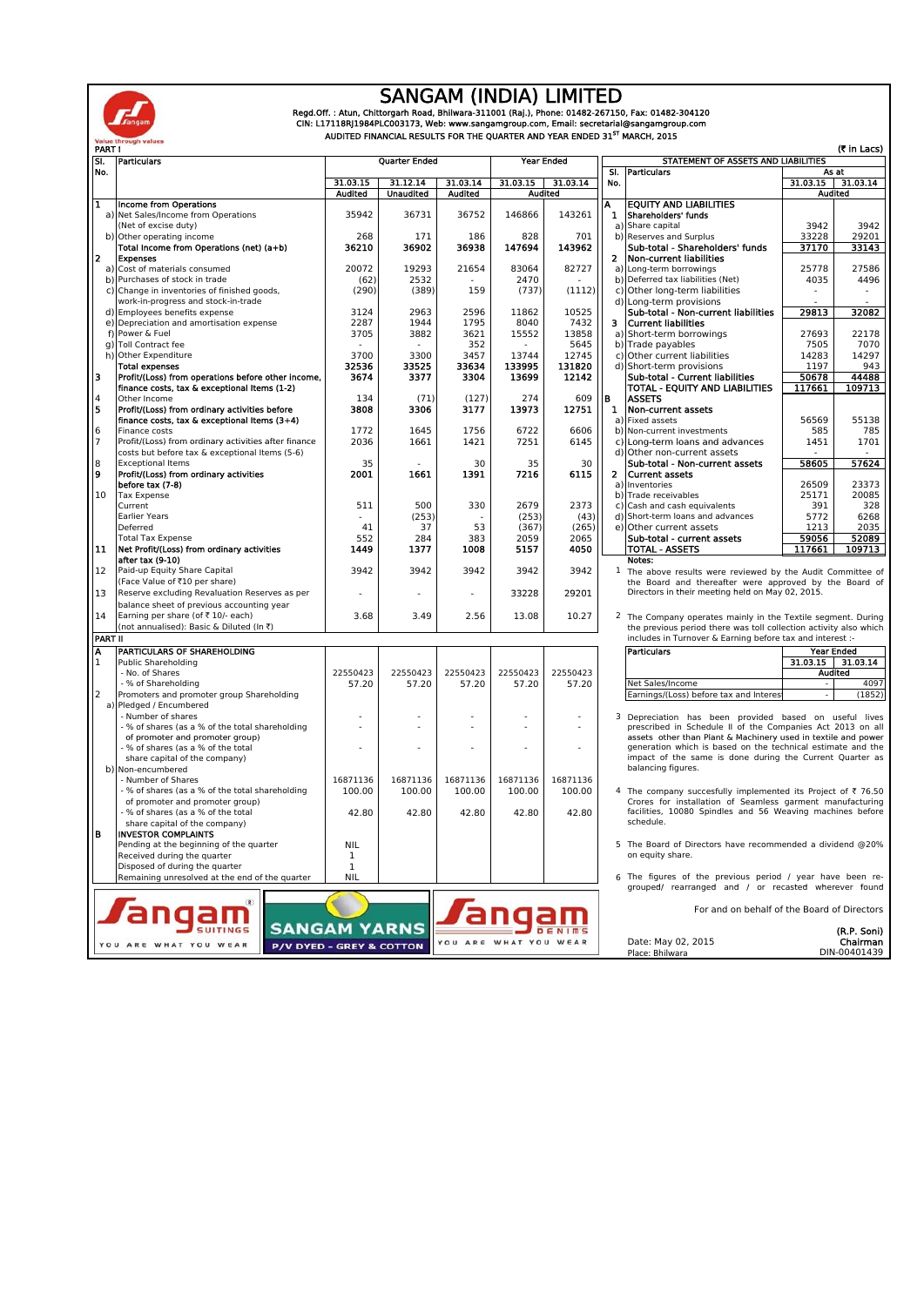

angam

OU ARE WHAT YOU WEAR

#### SANGAM (INDIA) LIMITED

Regd.Off. : Atun, Chittorgarh Road, Bhilwara-311001 (Raj.), Phone: 01482-267150, Fax: 01482-304120<br>CIN: L17118RJ1984PLC003173, Web: www.sangamgroup.com, Email: secretarial@sangamgroup.com<br>AUDITED FINANCIAL RESULTS FOR THE

angam

YOU ARE WHAT YOU WEAR

| SI.<br>No.                                     | Particulars                                                                     | Quarter Ended              |                              |                            | Year Ended      |                                                                                                                     |              | STATEMENT OF ASSETS AND LIABILITIES                                                                                            |                              |                     |
|------------------------------------------------|---------------------------------------------------------------------------------|----------------------------|------------------------------|----------------------------|-----------------|---------------------------------------------------------------------------------------------------------------------|--------------|--------------------------------------------------------------------------------------------------------------------------------|------------------------------|---------------------|
|                                                |                                                                                 |                            |                              |                            |                 |                                                                                                                     | SI.          | <b>Particulars</b>                                                                                                             | As at<br>$31.03.15$ 31.03.14 |                     |
|                                                |                                                                                 | 31.03.15<br><b>Audited</b> | 31.12.14<br><b>Unaudited</b> | 31.03.14<br><b>Audited</b> | 31.03.15        | 31.03.14<br><b>Audited</b>                                                                                          | No.          |                                                                                                                                |                              | <b>Audited</b>      |
| $\overline{\mathbf{1}}$                        | Income from Operations                                                          |                            |                              |                            |                 |                                                                                                                     | A            | <b>EQUITY AND LIABILITIES</b>                                                                                                  |                              |                     |
|                                                | a) Net Sales/Income from Operations                                             | 35942                      | 36731                        | 36752                      | 146866          | 143261                                                                                                              | 1.           | Shareholders' funds                                                                                                            |                              |                     |
|                                                | (Net of excise duty)                                                            |                            |                              |                            |                 |                                                                                                                     |              | a) Share capital                                                                                                               | 3942                         | 3942                |
|                                                | b) Other operating income                                                       | 268                        | 171                          | 186                        | 828             | 701                                                                                                                 |              | b) Reserves and Surplus                                                                                                        | 33228                        | 29201               |
|                                                | Total Income from Operations (net) (a+b)                                        | 36210                      | 36902                        | 36938                      | 147694          | 143962                                                                                                              |              | Sub-total - Shareholders' funds                                                                                                | 37170                        | 33143               |
| $\overline{2}$                                 | <b>Expenses</b>                                                                 |                            |                              |                            |                 |                                                                                                                     | 2            | Non-current liabilities                                                                                                        |                              |                     |
|                                                | a) Cost of materials consumed                                                   | 20072                      | 19293                        | 21654                      | 83064           | 82727                                                                                                               |              | a) Long-term borrowings                                                                                                        | 25778                        | 27586               |
|                                                | b) Purchases of stock in trade                                                  | (62)                       | 2532                         |                            | 2470            |                                                                                                                     |              | b) Deferred tax liabilities (Net)                                                                                              | 4035                         | 4496                |
|                                                | c) Change in inventories of finished goods,                                     | (290)                      | (389)                        | 159                        | (737)           | (1112)                                                                                                              |              | c) Other long-term liabilities                                                                                                 | ×.                           |                     |
|                                                | work-in-progress and stock-in-trade                                             |                            |                              |                            |                 |                                                                                                                     |              | d) Long-term provisions                                                                                                        |                              |                     |
|                                                | d) Employees benefits expense                                                   | 3124                       | 2963                         | 2596                       | 11862           | 10525                                                                                                               |              | Sub-total - Non-current liabilities                                                                                            | 29813                        | 32082               |
|                                                | e) Depreciation and amortisation expense                                        | 2287                       | 1944                         | 1795                       | 8040            | 7432                                                                                                                |              | 3 Current liabilities                                                                                                          |                              |                     |
|                                                | f) Power & Fuel                                                                 | 3705                       | 3882                         | 3621                       | 15552           | 13858                                                                                                               |              | a) Short-term borrowings                                                                                                       | 27693                        | 22178               |
|                                                | g) Toll Contract fee                                                            |                            |                              | 352                        |                 | 5645                                                                                                                |              | b) Trade payables                                                                                                              | 7505                         | 7070                |
|                                                | h) Other Expenditure                                                            | 3700                       | 3300                         | 3457                       | 13744           | 12745                                                                                                               |              | c) Other current liabilities                                                                                                   | 14283                        | 14297               |
| з                                              | <b>Total expenses</b><br>Profit/(Loss) from operations before other income,     | 32536<br>3674              | 33525<br>3377                | 33634<br>3304              | 133995<br>13699 | 131820<br>12142                                                                                                     |              | d) Short-term provisions<br>Sub-total - Current liabilities                                                                    | 1197<br>50678                | 943<br>44488        |
|                                                | finance costs, tax & exceptional Items (1-2)                                    |                            |                              |                            |                 |                                                                                                                     |              | TOTAL - EQUITY AND LIABILITIES                                                                                                 | 117661                       | 109713              |
|                                                | Other Income                                                                    | 134                        | (71)                         | (127)                      | 274             | 609                                                                                                                 | B            | <b>ASSETS</b>                                                                                                                  |                              |                     |
| $\frac{4}{5}$                                  | Profit/(Loss) from ordinary activities before                                   | 3808                       | 3306                         | 3177                       | 13973           | 12751                                                                                                               | 1            | Non-current assets                                                                                                             |                              |                     |
|                                                | finance costs, tax & exceptional Items (3+4)                                    |                            |                              |                            |                 |                                                                                                                     |              | a) Fixed assets                                                                                                                | 56569                        | 55138               |
|                                                | Finance costs                                                                   | 1772                       | 1645                         | 1756                       | 6722            | 6606                                                                                                                |              | b) Non-current investments                                                                                                     | 585                          | 785                 |
| $\begin{array}{c} 6 \\ 7 \end{array}$          | Profit/(Loss) from ordinary activities after finance                            | 2036                       | 1661                         | 1421                       | 7251            | 6145                                                                                                                |              | c) Long-term loans and advances                                                                                                | 1451                         | 1701                |
|                                                | costs but before tax & exceptional Items (5-6)                                  |                            |                              |                            |                 |                                                                                                                     |              | d) Other non-current assets                                                                                                    |                              |                     |
|                                                | <b>Exceptional Items</b>                                                        | 35                         |                              | 30                         | 35              | 30                                                                                                                  |              | Sub-total - Non-current assets                                                                                                 | 58605                        | 57624               |
| $\begin{array}{c} 8 \\ \textbf{9} \end{array}$ | Profit/(Loss) from ordinary activities                                          | 2001                       | 1661                         | 1391                       | 7216            | 6115                                                                                                                | $\mathbf{2}$ | <b>Current assets</b>                                                                                                          |                              |                     |
|                                                | before tax (7-8)                                                                |                            |                              |                            |                 |                                                                                                                     |              | a) Inventories                                                                                                                 | 26509                        | 23373               |
| 10                                             | <b>Tax Expense</b>                                                              |                            |                              |                            |                 |                                                                                                                     |              | b) Trade receivables                                                                                                           | 25171                        | 20085               |
|                                                | Current                                                                         | 511                        | 500                          | 330                        | 2679            | 2373                                                                                                                |              | c) Cash and cash equivalents                                                                                                   | 391                          | 328                 |
|                                                | <b>Earlier Years</b>                                                            |                            | (253)                        |                            | (253)           | (43)                                                                                                                |              | d) Short-term loans and advances                                                                                               | 5772                         | 6268                |
|                                                | Deferred                                                                        | 41                         | 37                           | 53                         | (367)           | (265)                                                                                                               |              | e) Other current assets                                                                                                        | 1213                         | 2035                |
|                                                | <b>Total Tax Expense</b>                                                        | 552                        | 284                          | 383                        | 2059            | 2065                                                                                                                |              | Sub-total - current assets                                                                                                     | 59056                        | 52089               |
| 11                                             | Net Profit/(Loss) from ordinary activities                                      | 1449                       | 1377                         | 1008                       | 5157            | 4050                                                                                                                |              | <b>TOTAL - ASSETS</b>                                                                                                          | 117661                       | 109713              |
| 12                                             | after tax (9-10)                                                                | 3942                       | 3942                         | 3942                       | 3942            | 3942                                                                                                                |              | Notes:                                                                                                                         |                              |                     |
|                                                | Paid-up Equity Share Capital<br>(Face Value of ₹10 per share)                   |                            |                              |                            |                 |                                                                                                                     |              | 1 The above results were reviewed by the Audit Committee of                                                                    |                              |                     |
| 13                                             |                                                                                 |                            |                              | ÷                          | 33228           | the Board and thereafter were approved by the Board of<br>29201<br>Directors in their meeting held on May 02, 2015. |              |                                                                                                                                |                              |                     |
|                                                | Reserve excluding Revaluation Reserves as per                                   |                            |                              |                            |                 |                                                                                                                     |              |                                                                                                                                |                              |                     |
| 14                                             | balance sheet of previous accounting year<br>Earning per share (of ₹ 10/- each) | 3.68                       | 3.49                         | 2.56                       | 13.08           | 10.27                                                                                                               |              |                                                                                                                                |                              |                     |
|                                                | (not annualised): Basic & Diluted (In ₹)                                        |                            |                              |                            |                 |                                                                                                                     |              | <sup>2</sup> The Company operates mainly in the Textile segment. During                                                        |                              |                     |
| <b>PART II</b>                                 |                                                                                 |                            |                              |                            |                 |                                                                                                                     |              | the previous period there was toll collection activity also which<br>includes in Turnover & Earning before tax and interest :- |                              |                     |
| Ā                                              | PARTICULARS OF SHAREHOLDING                                                     |                            |                              |                            |                 |                                                                                                                     |              | <b>Particulars</b>                                                                                                             |                              | <b>Year Ended</b>   |
| $\mathbf{1}$                                   | <b>Public Shareholding</b>                                                      |                            |                              |                            |                 |                                                                                                                     |              |                                                                                                                                |                              | $31.03.15$ 31.03.14 |
|                                                | - No. of Shares                                                                 | 22550423                   | 22550423                     | 22550423                   | 22550423        | 22550423                                                                                                            |              |                                                                                                                                |                              | <b>Audited</b>      |
|                                                | - % of Shareholding                                                             | 57.20                      | 57.20                        | 57.20                      | 57.20           | 57.20                                                                                                               |              | Net Sales/Income                                                                                                               |                              | 4097                |
| $\overline{2}$                                 | Promoters and promoter group Shareholding                                       |                            |                              |                            |                 |                                                                                                                     |              | Earnings/(Loss) before tax and Interes                                                                                         |                              | (1852)              |
|                                                | a) Pledged / Encumbered                                                         |                            |                              |                            |                 |                                                                                                                     |              |                                                                                                                                |                              |                     |
|                                                | - Number of shares                                                              |                            |                              |                            |                 |                                                                                                                     |              | 3 Depreciation has been provided based on useful lives                                                                         |                              |                     |
|                                                | - % of shares (as a % of the total shareholding                                 |                            |                              |                            |                 |                                                                                                                     |              | prescribed in Schedule II of the Companies Act 2013 on al                                                                      |                              |                     |
|                                                | of promoter and promoter group)                                                 |                            |                              |                            |                 |                                                                                                                     |              | assets other than Plant & Machinery used in textile and power                                                                  |                              |                     |
|                                                | - % of shares (as a % of the total                                              |                            |                              |                            |                 |                                                                                                                     |              | generation which is based on the technical estimate and the                                                                    |                              |                     |
|                                                | share capital of the company)                                                   |                            |                              |                            |                 |                                                                                                                     |              | impact of the same is done during the Current Quarter as                                                                       |                              |                     |
|                                                | b) Non-encumbered                                                               |                            |                              |                            |                 |                                                                                                                     |              | balancing figures.                                                                                                             |                              |                     |
|                                                | - Number of Shares                                                              | 16871136                   | 16871136                     | 16871136                   | 16871136        | 16871136                                                                                                            |              |                                                                                                                                |                              |                     |
|                                                | - % of shares (as a % of the total shareholding                                 | 100.00                     | 100.00                       | 100.00                     | 100.00          | 100.00                                                                                                              |              | 4 The company succesfully implemented its Project of ₹ 76.50                                                                   |                              |                     |
|                                                | of promoter and promoter group)                                                 |                            |                              |                            |                 |                                                                                                                     |              | Crores for installation of Seamless garment manufacturing                                                                      |                              |                     |
|                                                | - % of shares (as a % of the total                                              | 42.80                      | 42.80                        | 42.80                      | 42.80           | 42.80                                                                                                               |              | facilities, 10080 Spindles and 56 Weaving machines before                                                                      |                              |                     |
|                                                | share capital of the company)                                                   |                            |                              |                            |                 |                                                                                                                     |              | schedule.                                                                                                                      |                              |                     |
| B                                              | <b>INVESTOR COMPLAINTS</b>                                                      |                            |                              |                            |                 |                                                                                                                     |              |                                                                                                                                |                              |                     |
|                                                | Pending at the beginning of the quarter                                         | <b>NIL</b>                 |                              |                            |                 |                                                                                                                     |              | 5 The Board of Directors have recommended a dividend @20%                                                                      |                              |                     |
|                                                | Received during the quarter                                                     | 1                          |                              |                            |                 |                                                                                                                     |              | on equity share.                                                                                                               |                              |                     |
|                                                | Disposed of during the quarter                                                  | 1                          |                              |                            |                 |                                                                                                                     |              |                                                                                                                                |                              |                     |
|                                                | Remaining unresolved at the end of the quarter                                  | <b>NIL</b>                 |                              |                            |                 |                                                                                                                     |              | 6 The figures of the previous period / year have been re-<br>acainsal concensated and I ac constant whocouse found             |                              |                     |

**SANGAM YARNS** 

P/V DYED - GREY & COTTON

| <b>Particulars</b>                                   | <b>Quarter Ended</b> |                  |                | <b>Year Ended</b> |          | (र in Lacs)<br>STATEMENT OF ASSETS AND LIABILITIES |                                                             |          |          |
|------------------------------------------------------|----------------------|------------------|----------------|-------------------|----------|----------------------------------------------------|-------------------------------------------------------------|----------|----------|
|                                                      |                      |                  |                |                   |          | SI.                                                | <b>Particulars</b>                                          | As at    |          |
|                                                      | 31.03.15             | 31.12.14         | 31.03.14       | 31.03.15          | 31.03.14 | No.                                                |                                                             | 31.03.15 | 31.03.14 |
|                                                      | <b>Audited</b>       | <b>Unaudited</b> | <b>Audited</b> | <b>Audited</b>    |          |                                                    |                                                             | Audited  |          |
| Income from Operations                               |                      |                  |                |                   |          | Α                                                  | <b>EQUITY AND LIABILITIES</b>                               |          |          |
| Net Sales/Income from Operations                     | 35942                | 36731            | 36752          | 146866            | 143261   | 1.                                                 | Shareholders' funds                                         |          |          |
| (Net of excise duty)                                 |                      |                  |                |                   |          |                                                    | a) Share capital                                            | 3942     | 3942     |
| Other operating income                               | 268                  | 171              | 186            | 828               | 701      |                                                    | b) Reserves and Surplus                                     | 33228    | 29201    |
| Total Income from Operations (net) (a+b)             | 36210                | 36902            | 36938          | 147694            | 143962   |                                                    | Sub-total - Shareholders' funds                             | 37170    | 33143    |
| <b>Expenses</b>                                      |                      |                  |                |                   |          | 2.                                                 | Non-current liabilities                                     |          |          |
| Cost of materials consumed                           | 20072                | 19293            | 21654          | 83064             | 82727    |                                                    | a) Long-term borrowings                                     | 25778    | 27586    |
| Purchases of stock in trade                          | (62)                 | 2532             |                | 2470              |          |                                                    | b) Deferred tax liabilities (Net)                           | 4035     | 4496     |
| Change in inventories of finished goods,             | (290)                | (389)            | 159            | (737)             | (1112)   |                                                    | c) Other long-term liabilities                              |          |          |
| work-in-progress and stock-in-trade                  |                      |                  |                |                   |          |                                                    | d) Long-term provisions                                     |          |          |
| Employees benefits expense                           | 3124                 | 2963             | 2596           | 11862             | 10525    |                                                    | Sub-total - Non-current liabilities                         | 29813    | 32082    |
| Depreciation and amortisation expense                | 2287                 | 1944             | 1795           | 8040              | 7432     |                                                    | 3 Current liabilities                                       |          |          |
| Power & Fuel                                         | 3705                 | 3882             | 3621           | 15552             | 13858    |                                                    | a) Short-term borrowings                                    | 27693    | 22178    |
| Toll Contract fee                                    |                      |                  | 352            |                   | 5645     |                                                    | b) Trade payables                                           | 7505     | 7070     |
| Other Expenditure                                    | 3700                 | 3300             | 3457           | 13744             | 12745    |                                                    | c) Other current liabilities                                | 14283    | 14297    |
| <b>Total expenses</b>                                | 32536                | 33525            | 33634          | 133995            | 131820   |                                                    | d) Short-term provisions                                    | 1197     | 943      |
| Profit/(Loss) from operations before other income,   | 3674                 | 3377             | 3304           | 13699             | 12142    |                                                    | Sub-total - Current liabilities                             | 50678    | 44488    |
| finance costs, tax & exceptional items (1-2)         |                      |                  |                |                   |          |                                                    | TOTAL - EQUITY AND LIABILITIES                              | 117661   | 109713   |
| Other Income                                         | 134                  | (71)             | (127)          | 274               | 609      | B                                                  | <b>ASSETS</b>                                               |          |          |
| Profit/(Loss) from ordinary activities before        | 3808                 | 3306             | 3177           | 13973             | 12751    | 1                                                  | Non-current assets                                          |          |          |
| finance costs, tax & exceptional Items (3+4)         |                      |                  |                |                   |          |                                                    | a) Fixed assets                                             | 56569    | 55138    |
| Finance costs                                        | 1772                 | 1645             | 1756           | 6722              | 6606     |                                                    | b) Non-current investments                                  | 585      | 785      |
| Profit/(Loss) from ordinary activities after finance | 2036                 | 1661             | 1421           | 7251              | 6145     |                                                    | c) Long-term loans and advances                             | 1451     | 1701     |
| costs but before tax & exceptional Items (5-6)       |                      |                  |                |                   |          |                                                    | d) Other non-current assets                                 |          |          |
| <b>Exceptional Items</b>                             | 35                   |                  | 30             | 35                | 30       |                                                    | Sub-total - Non-current assets                              | 58605    | 57624    |
| Profit/(Loss) from ordinary activities               | 2001                 | 1661             | 1391           | 7216              | 6115     |                                                    | 2 Current assets                                            |          |          |
| before tax (7-8)                                     |                      |                  |                |                   |          |                                                    | a) Inventories                                              | 26509    | 23373    |
| Tax Expense                                          |                      |                  |                |                   |          |                                                    | b) Trade receivables                                        | 25171    | 20085    |
| Current                                              | 511                  | 500              | 330            | 2679              | 2373     |                                                    | c) Cash and cash equivalents                                | 391      | 328      |
| Earlier Years                                        |                      | (253)            |                | (253)             | (43)     |                                                    | d) Short-term loans and advances                            | 5772     | 6268     |
| Deferred                                             | 41                   | 37               | 53             | (367)             | (265)    |                                                    | e) Other current assets                                     | 1213     | 2035     |
| <b>Total Tax Expense</b>                             | 552                  | 284              | 383            | 2059              | 2065     |                                                    | Sub-total - current assets                                  | 59056    | 52089    |
| Net Profit/(Loss) from ordinary activities           | 1449                 | 1377             | 1008           | 5157              | 4050     |                                                    | <b>TOTAL - ASSETS</b>                                       | 117661   | 109713   |
| after tax (9-10)                                     |                      |                  |                |                   |          |                                                    | Notes:                                                      |          |          |
| Paid-up Equity Share Capital                         | 3942                 | 3942             | 3942           | 3942              | 3942     |                                                    | 1 The above results were reviewed by the Audit Committee of |          |          |
| (Face Value of ₹10 per share)                        |                      |                  |                |                   |          |                                                    | the Board and thereafter were approved by the Board of      |          |          |
| Reserve excluding Revaluation Reserves as per        |                      |                  | ۰              | 33228             | 29201    |                                                    | Directors in their meeting held on May 02, 2015.            |          |          |
| holones ebest ef nyoujous assounting user.           |                      |                  |                |                   |          |                                                    |                                                             |          |          |

| Particulars                            | Year Ended     |          |  |  |
|----------------------------------------|----------------|----------|--|--|
|                                        | 31.03.15       | 31.03.14 |  |  |
|                                        | <b>Audited</b> |          |  |  |
| Net Sales/Income                       | ۰              | 4097     |  |  |
| Earnings/(Loss) before tax and Interes |                | (1852)   |  |  |

|                    | The figures of the previous period / year have been re- |
|--------------------|---------------------------------------------------------|
|                    | grouped/ rearranged and / or recasted wherever found    |
|                    |                                                         |
|                    | For and on behalf of the Board of Directors             |
|                    |                                                         |
|                    | (R.P. Soni)                                             |
| Date: May 02, 2015 | Chairman                                                |
| Place: Bhilwara    | DIN-00401439                                            |
|                    |                                                         |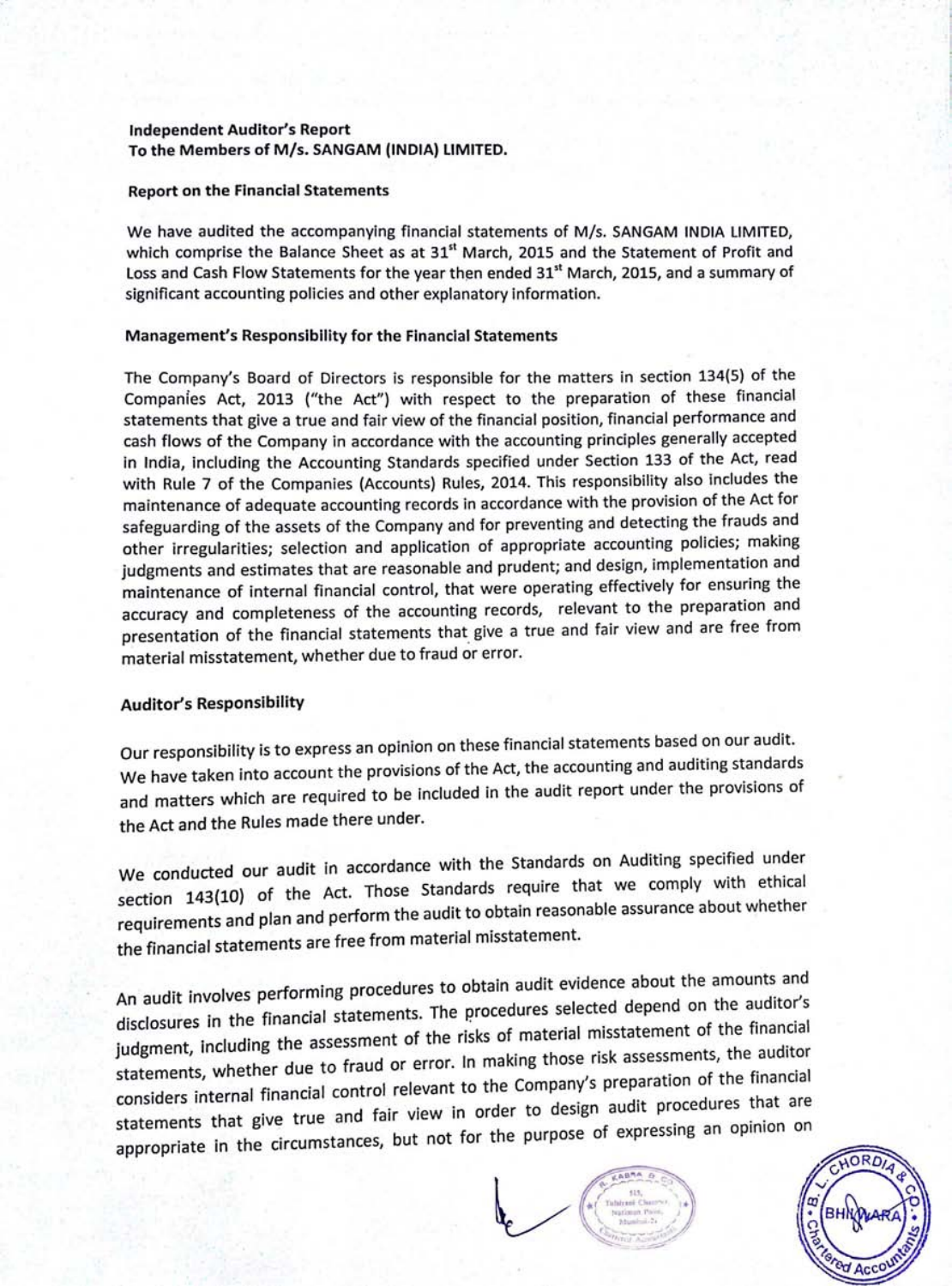## **Independent Auditor's Report** To the Members of M/s. SANGAM (INDIA) LIMITED.

#### **Report on the Financial Statements**

We have audited the accompanying financial statements of M/s. SANGAM INDIA LIMITED, which comprise the Balance Sheet as at 31<sup>st</sup> March, 2015 and the Statement of Profit and Loss and Cash Flow Statements for the year then ended 31<sup>st</sup> March, 2015, and a summary of significant accounting policies and other explanatory information.

#### **Management's Responsibility for the Financial Statements**

The Company's Board of Directors is responsible for the matters in section 134(5) of the Companies Act, 2013 ("the Act") with respect to the preparation of these financial statements that give a true and fair view of the financial position, financial performance and cash flows of the Company in accordance with the accounting principles generally accepted in India, including the Accounting Standards specified under Section 133 of the Act, read with Rule 7 of the Companies (Accounts) Rules, 2014. This responsibility also includes the maintenance of adequate accounting records in accordance with the provision of the Act for safeguarding of the assets of the Company and for preventing and detecting the frauds and other irregularities; selection and application of appropriate accounting policies; making judgments and estimates that are reasonable and prudent; and design, implementation and maintenance of internal financial control, that were operating effectively for ensuring the accuracy and completeness of the accounting records, relevant to the preparation and presentation of the financial statements that give a true and fair view and are free from material misstatement, whether due to fraud or error.

# **Auditor's Responsibility**

Our responsibility is to express an opinion on these financial statements based on our audit. We have taken into account the provisions of the Act, the accounting and auditing standards and matters which are required to be included in the audit report under the provisions of the Act and the Rules made there under.

We conducted our audit in accordance with the Standards on Auditing specified under section 143(10) of the Act. Those Standards require that we comply with ethical requirements and plan and perform the audit to obtain reasonable assurance about whether the financial statements are free from material misstatement.

An audit involves performing procedures to obtain audit evidence about the amounts and disclosures in the financial statements. The procedures selected depend on the auditor's judgment, including the assessment of the risks of material misstatement of the financial statements, whether due to fraud or error. In making those risk assessments, the auditor considers internal financial control relevant to the Company's preparation of the financial statements that give true and fair view in order to design audit procedures that are appropriate in the circumstances, but not for the purpose of expressing an opinion on



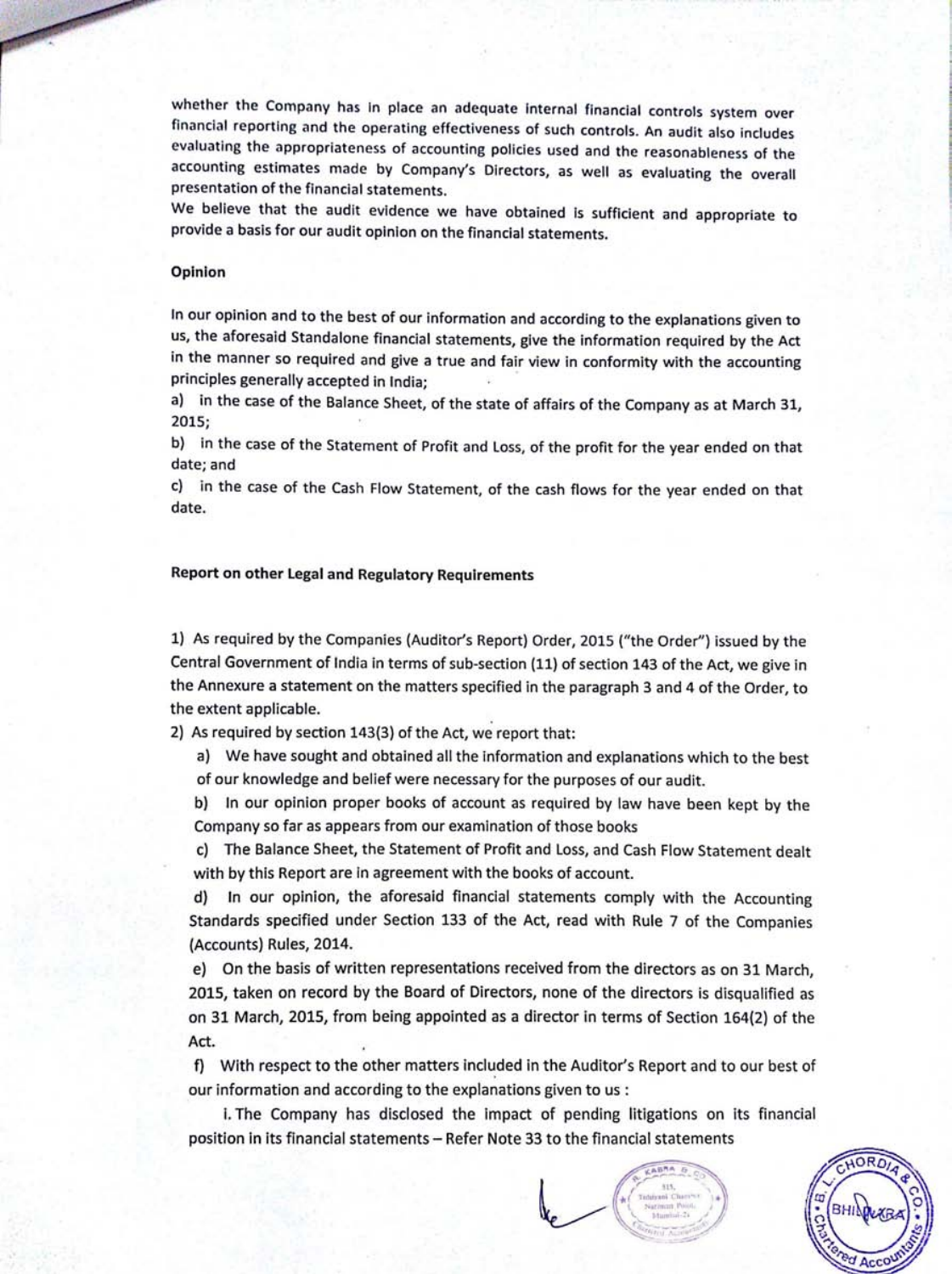whether the Company has in place an adequate internal financial controls system over financial reporting and the operating effectiveness of such controls. An audit also includes evaluating the appropriateness of accounting policies used and the reasonableness of the accounting estimates made by Company's Directors, as well as evaluating the overall presentation of the financial statements.

We believe that the audit evidence we have obtained is sufficient and appropriate to provide a basis for our audit opinion on the financial statements.

#### Opinion

In our opinion and to the best of our information and according to the explanations given to us, the aforesaid Standalone financial statements, give the information required by the Act in the manner so required and give a true and fair view in conformity with the accounting principles generally accepted in India;

a) in the case of the Balance Sheet, of the state of affairs of the Company as at March 31, 2015;

b) in the case of the Statement of Profit and Loss, of the profit for the year ended on that date; and

in the case of the Cash Flow Statement, of the cash flows for the year ended on that C) date.

### Report on other Legal and Regulatory Requirements

1) As required by the Companies (Auditor's Report) Order, 2015 ("the Order") issued by the Central Government of India in terms of sub-section (11) of section 143 of the Act, we give in the Annexure a statement on the matters specified in the paragraph 3 and 4 of the Order, to the extent applicable.

2) As required by section 143(3) of the Act, we report that:

a) We have sought and obtained all the information and explanations which to the best of our knowledge and belief were necessary for the purposes of our audit.

In our opinion proper books of account as required by law have been kept by the  $b)$ Company so far as appears from our examination of those books

The Balance Sheet, the Statement of Profit and Loss, and Cash Flow Statement dealt C) with by this Report are in agreement with the books of account.

In our opinion, the aforesaid financial statements comply with the Accounting  $d)$ Standards specified under Section 133 of the Act, read with Rule 7 of the Companies

(Accounts) Rules, 2014.

e) On the basis of written representations received from the directors as on 31 March, 2015, taken on record by the Board of Directors, none of the directors is disqualified as on 31 March, 2015, from being appointed as a director in terms of Section 164(2) of the Act.

With respect to the other matters included in the Auditor's Report and to our best of f) our information and according to the explanations given to us:

i. The Company has disclosed the impact of pending litigations on its financial position in its financial statements - Refer Note 33 to the financial statements